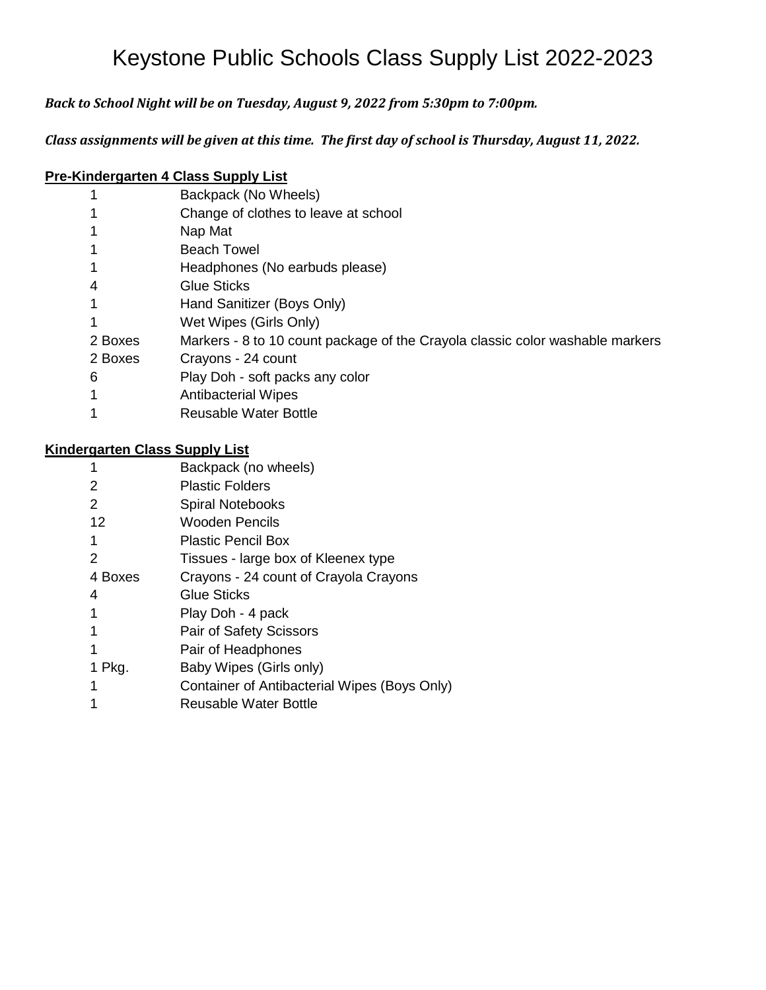# Keystone Public Schools Class Supply List 2022-2023

*Back to School Night will be on Tuesday, August 9, 2022 from 5:30pm to 7:00pm.*

*Class assignments will be given at this time. The first day of school is Thursday, August 11, 2022.*

## **Pre-Kindergarten 4 Class Supply List**

|         | Backpack (No Wheels)                                                          |
|---------|-------------------------------------------------------------------------------|
|         | Change of clothes to leave at school                                          |
|         | Nap Mat                                                                       |
|         | <b>Beach Towel</b>                                                            |
|         | Headphones (No earbuds please)                                                |
| 4       | <b>Glue Sticks</b>                                                            |
|         | Hand Sanitizer (Boys Only)                                                    |
|         | Wet Wipes (Girls Only)                                                        |
| 2 Boxes | Markers - 8 to 10 count package of the Crayola classic color washable markers |
| 2 Boxes | Crayons - 24 count                                                            |
| 6       | Play Doh - soft packs any color                                               |
|         | <b>Antibacterial Wipes</b>                                                    |
|         | Reusable Water Bottle                                                         |
|         |                                                                               |

## **Kindergarten Class Supply List**

| 1       | Backpack (no wheels)                         |
|---------|----------------------------------------------|
| 2       | <b>Plastic Folders</b>                       |
| 2       | <b>Spiral Notebooks</b>                      |
| 12      | Wooden Pencils                               |
| 1       | Plastic Pencil Box                           |
| 2       | Tissues - large box of Kleenex type          |
| 4 Boxes | Crayons - 24 count of Crayola Crayons        |
| 4       | Glue Sticks                                  |
| 1       | Play Doh - 4 pack                            |
| 1       | Pair of Safety Scissors                      |
| 1       | Pair of Headphones                           |
| 1 Pkg.  | Baby Wipes (Girls only)                      |
|         | Container of Antibacterial Wipes (Boys Only) |
|         | Reusable Water Bottle                        |
|         |                                              |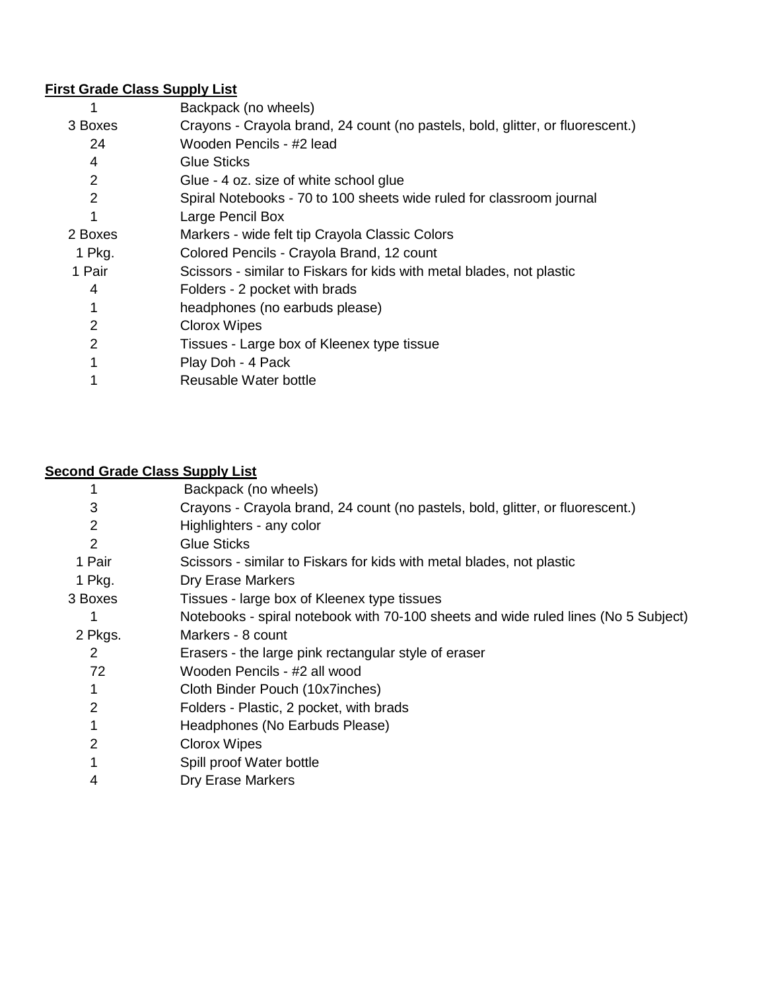## **First Grade Class Supply List**

|         | Backpack (no wheels)                                                           |
|---------|--------------------------------------------------------------------------------|
| 3 Boxes | Crayons - Crayola brand, 24 count (no pastels, bold, glitter, or fluorescent.) |
| 24      | Wooden Pencils - #2 lead                                                       |
| 4       | <b>Glue Sticks</b>                                                             |
| 2       | Glue - 4 oz. size of white school glue                                         |
| 2       | Spiral Notebooks - 70 to 100 sheets wide ruled for classroom journal           |
|         | Large Pencil Box                                                               |
| 2 Boxes | Markers - wide felt tip Crayola Classic Colors                                 |
| 1 Pkg.  | Colored Pencils - Crayola Brand, 12 count                                      |
| 1 Pair  | Scissors - similar to Fiskars for kids with metal blades, not plastic          |
| 4       | Folders - 2 pocket with brads                                                  |
| 1       | headphones (no earbuds please)                                                 |
| 2       | <b>Clorox Wipes</b>                                                            |
| 2       | Tissues - Large box of Kleenex type tissue                                     |
|         | Play Doh - 4 Pack                                                              |
|         | Reusable Water bottle                                                          |
|         |                                                                                |

## **Second Grade Class Supply List**

|         | Backpack (no wheels)                                                               |
|---------|------------------------------------------------------------------------------------|
| 3       | Crayons - Crayola brand, 24 count (no pastels, bold, glitter, or fluorescent.)     |
| 2       | Highlighters - any color                                                           |
| 2       | <b>Glue Sticks</b>                                                                 |
| 1 Pair  | Scissors - similar to Fiskars for kids with metal blades, not plastic              |
| 1 Pkg.  | Dry Erase Markers                                                                  |
| 3 Boxes | Tissues - large box of Kleenex type tissues                                        |
|         | Notebooks - spiral notebook with 70-100 sheets and wide ruled lines (No 5 Subject) |
| 2 Pkgs. | Markers - 8 count                                                                  |
| 2       | Erasers - the large pink rectangular style of eraser                               |
| 72      | Wooden Pencils - #2 all wood                                                       |
|         | Cloth Binder Pouch (10x7inches)                                                    |
| 2       | Folders - Plastic, 2 pocket, with brads                                            |
|         | Headphones (No Earbuds Please)                                                     |
| 2       | <b>Clorox Wipes</b>                                                                |
|         | Spill proof Water bottle                                                           |
| 4       | <b>Dry Erase Markers</b>                                                           |
|         |                                                                                    |